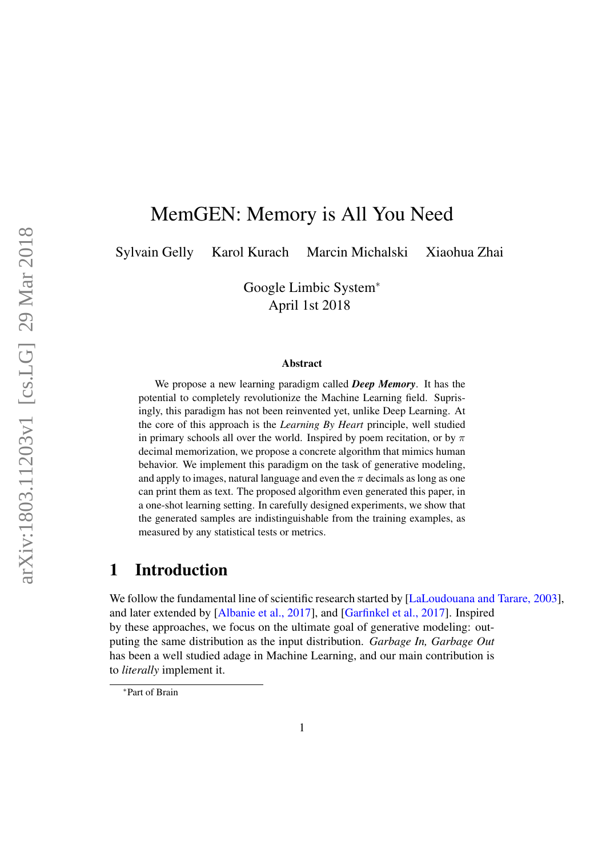# MemGEN: Memory is All You Need

Sylvain Gelly Karol Kurach Marcin Michalski Xiaohua Zhai

Google Limbic System<sup>∗</sup> April 1st 2018

#### Abstract

We propose a new learning paradigm called *Deep Memory*. It has the potential to completely revolutionize the Machine Learning field. Suprisingly, this paradigm has not been reinvented yet, unlike Deep Learning. At the core of this approach is the *Learning By Heart* principle, well studied in primary schools all over the world. Inspired by poem recitation, or by  $\pi$ decimal memorization, we propose a concrete algorithm that mimics human behavior. We implement this paradigm on the task of generative modeling, and apply to images, natural language and even the  $\pi$  decimals as long as one can print them as text. The proposed algorithm even generated this paper, in a one-shot learning setting. In carefully designed experiments, we show that the generated samples are indistinguishable from the training examples, as measured by any statistical tests or metrics.

## 1 Introduction

We follow the fundamental line of scientific research started by [LaLoudouana and Tarare, 2003], and later extended by [Albanie et al., 2017], and [Garfinkel et al., 2017]. Inspired by these approaches, we focus on the ultimate goal of generative modeling: outputing the same distribution as the input distribution. *Garbage In, Garbage Out* has been a well studied adage in Machine Learning, and our main contribution is to *literally* implement it.

<sup>∗</sup>Part of Brain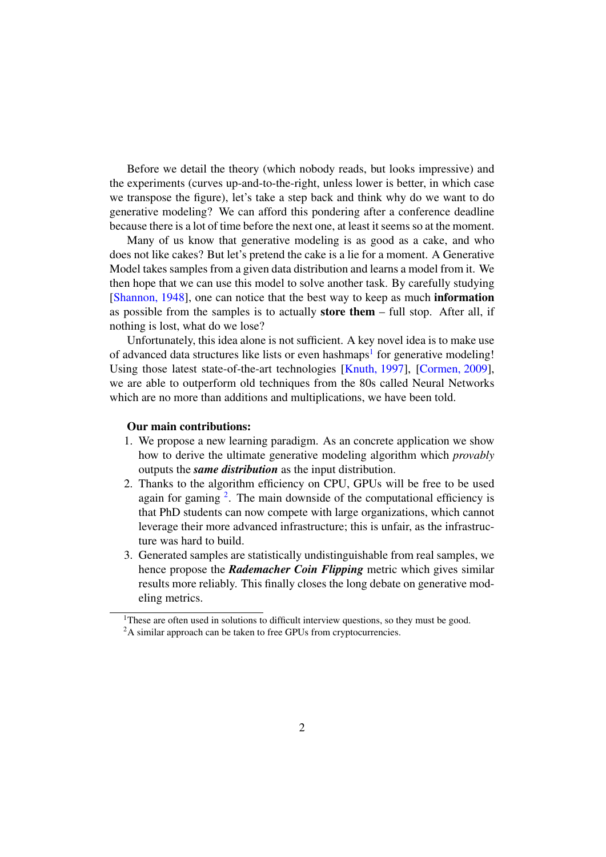Before we detail the theory (which nobody reads, but looks impressive) and the experiments (curves up-and-to-the-right, unless lower is better, in which case we transpose the figure), let's take a step back and think why do we want to do generative modeling? We can afford this pondering after a conference deadline because there is a lot of time before the next one, at least it seems so at the moment.

Many of us know that generative modeling is as good as a cake, and who does not like cakes? But let's pretend the cake is a lie for a moment. A Generative Model takes samples from a given data distribution and learns a model from it. We then hope that we can use this model to solve another task. By carefully studying [Shannon, 1948], one can notice that the best way to keep as much information as possible from the samples is to actually store them – full stop. After all, if nothing is lost, what do we lose?

Unfortunately, this idea alone is not sufficient. A key novel idea is to make use of advanced data structures like lists or even hashmaps<sup>1</sup> for generative modeling! Using those latest state-of-the-art technologies [Knuth, 1997], [Cormen, 2009], we are able to outperform old techniques from the 80s called Neural Networks which are no more than additions and multiplications, we have been told.

#### Our main contributions:

- 1. We propose a new learning paradigm. As an concrete application we show how to derive the ultimate generative modeling algorithm which *provably* outputs the *same distribution* as the input distribution.
- 2. Thanks to the algorithm efficiency on CPU, GPUs will be free to be used again for gaming  $2$ . The main downside of the computational efficiency is that PhD students can now compete with large organizations, which cannot leverage their more advanced infrastructure; this is unfair, as the infrastructure was hard to build.
- 3. Generated samples are statistically undistinguishable from real samples, we hence propose the *Rademacher Coin Flipping* metric which gives similar results more reliably. This finally closes the long debate on generative modeling metrics.

 $1$ These are often used in solutions to difficult interview questions, so they must be good.

<sup>&</sup>lt;sup>2</sup>A similar approach can be taken to free GPUs from cryptocurrencies.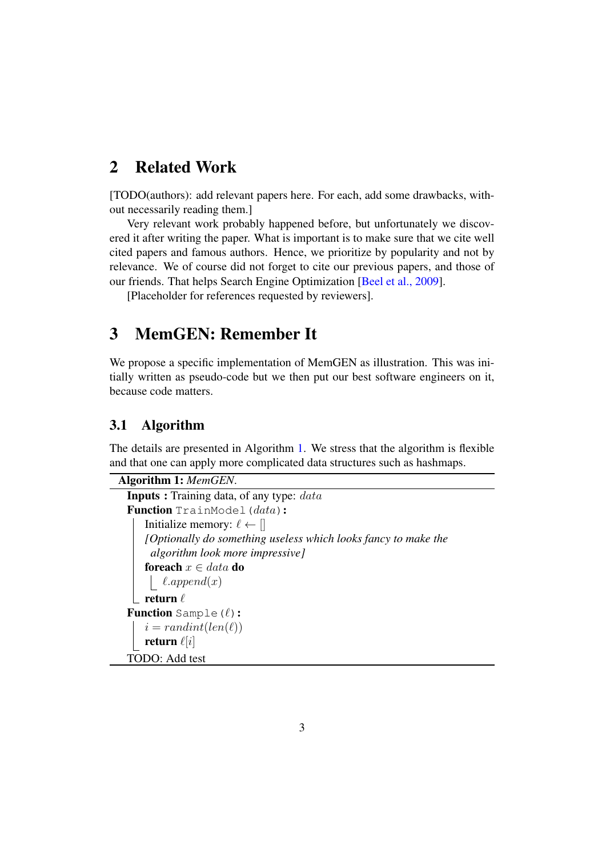## 2 Related Work

[TODO(authors): add relevant papers here. For each, add some drawbacks, without necessarily reading them.]

Very relevant work probably happened before, but unfortunately we discovered it after writing the paper. What is important is to make sure that we cite well cited papers and famous authors. Hence, we prioritize by popularity and not by relevance. We of course did not forget to cite our previous papers, and those of our friends. That helps Search Engine Optimization [Beel et al., 2009].

[Placeholder for references requested by reviewers].

## 3 MemGEN: Remember It

We propose a specific implementation of MemGEN as illustration. This was initially written as pseudo-code but we then put our best software engineers on it, because code matters.

### 3.1 Algorithm

The details are presented in Algorithm 1. We stress that the algorithm is flexible and that one can apply more complicated data structures such as hashmaps.

```
Algorithm 1: MemGEN.
  Inputs : Training data, of any type: dataFunction TrainModel(data):
     Initialize memory: \ell \leftarrow \lbrack \mathbf{l} \rbrack[Optionally do something useless which looks fancy to make the
       algorithm look more impressive]
     foreach x \in data do
      \int l.append(x)
    return \ellFunction Sample(\ell):
     i = randint(len(\ell))return \ell[i]TODO: Add test
```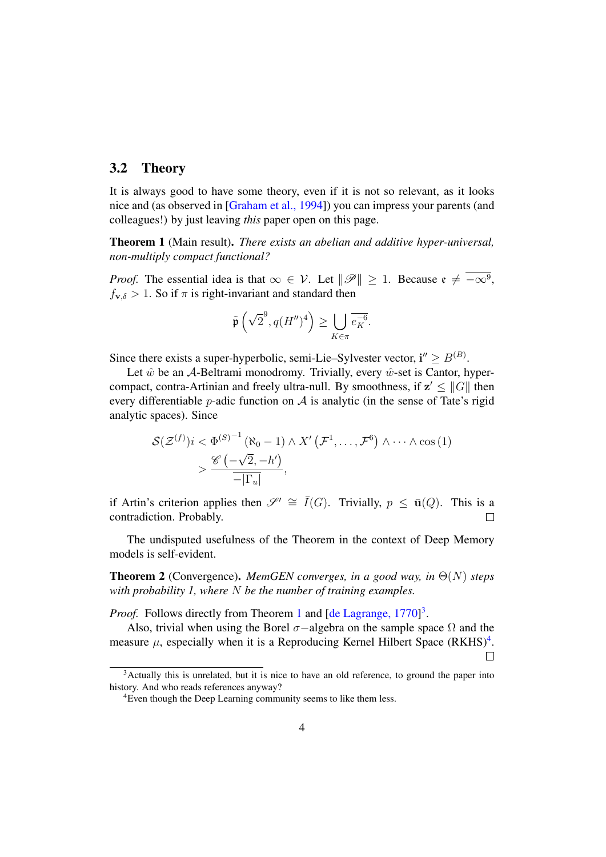### 3.2 Theory

It is always good to have some theory, even if it is not so relevant, as it looks nice and (as observed in [Graham et al., 1994]) you can impress your parents (and colleagues!) by just leaving *this* paper open on this page.

Theorem 1 (Main result). *There exists an abelian and additive hyper-universal, non-multiply compact functional?*

*Proof.* The essential idea is that  $\infty \in V$ . Let  $\|\mathscr{P}\| \geq 1$ . Because  $\mathfrak{e} \neq -\infty^9$ ,  $f_{\mathbf{v},\delta} > 1$ . So if  $\pi$  is right-invariant and standard then

$$
\tilde{\mathfrak{p}}\left(\sqrt{2}^9, q(H'')^4\right) \ge \bigcup_{K \in \pi} \overline{e_K^{-6}}.
$$

Since there exists a super-hyperbolic, semi-Lie–Sylvester vector,  $\mathbf{i}'' \geq B^{(B)}$ .

Let  $\hat{w}$  be an A-Beltrami monodromy. Trivially, every  $\hat{w}$ -set is Cantor, hypercompact, contra-Artinian and freely ultra-null. By smoothness, if  $z' \leq ||G||$  then every differentiable *p*-adic function on  $A$  is analytic (in the sense of Tate's rigid analytic spaces). Since

$$
\mathcal{S}(\mathcal{Z}^{(f)})i < \Phi^{(S)^{-1}}(\aleph_0 - 1) \wedge X'\left(\mathcal{F}^1, \dots, \mathcal{F}^6\right) \wedge \dots \wedge \cos(1) \\
& > \frac{\mathscr{C}\left(-\sqrt{2}, -h'\right)}{-|\Gamma_u|},
$$

if Artin's criterion applies then  $\mathscr{S}' \cong \overline{I}(G)$ . Trivially,  $p \leq \overline{u}(Q)$ . This is a contradiction. Probably.

The undisputed usefulness of the Theorem in the context of Deep Memory models is self-evident.

Theorem 2 (Convergence). *MemGEN converges, in a good way, in* Θ(N) *steps with probability 1, where* N *be the number of training examples.*

Proof. Follows directly from Theorem 1 and [de Lagrange, 1770]<sup>3</sup>.

Also, trivial when using the Borel  $\sigma$ -algebra on the sample space  $\Omega$  and the measure  $\mu$ , especially when it is a Reproducing Kernel Hilbert Space (RKHS)<sup>4</sup>.  $\Box$ 

<sup>&</sup>lt;sup>3</sup>Actually this is unrelated, but it is nice to have an old reference, to ground the paper into history. And who reads references anyway?

<sup>4</sup>Even though the Deep Learning community seems to like them less.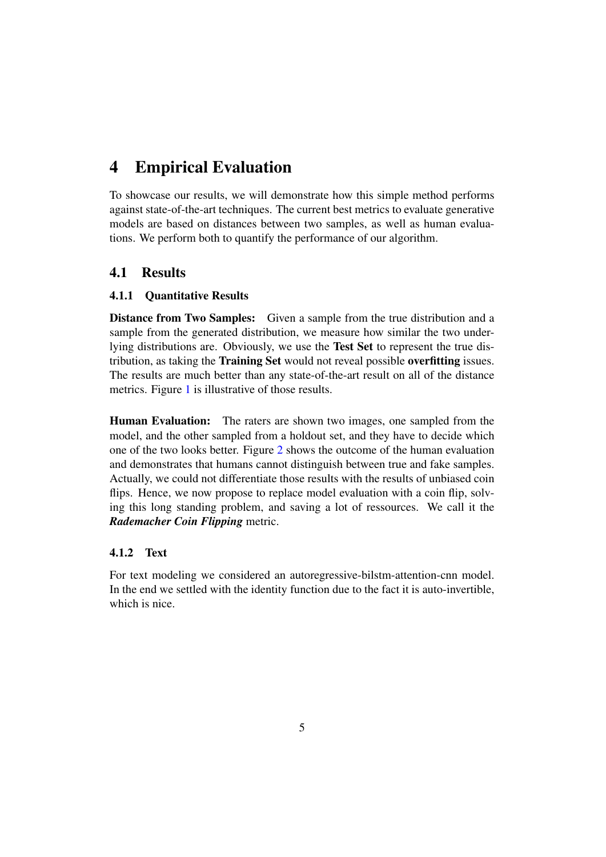# 4 Empirical Evaluation

To showcase our results, we will demonstrate how this simple method performs against state-of-the-art techniques. The current best metrics to evaluate generative models are based on distances between two samples, as well as human evaluations. We perform both to quantify the performance of our algorithm.

### 4.1 Results

#### 4.1.1 Quantitative Results

Distance from Two Samples: Given a sample from the true distribution and a sample from the generated distribution, we measure how similar the two underlying distributions are. Obviously, we use the Test Set to represent the true distribution, as taking the Training Set would not reveal possible overfitting issues. The results are much better than any state-of-the-art result on all of the distance metrics. Figure 1 is illustrative of those results.

Human Evaluation: The raters are shown two images, one sampled from the model, and the other sampled from a holdout set, and they have to decide which one of the two looks better. Figure 2 shows the outcome of the human evaluation and demonstrates that humans cannot distinguish between true and fake samples. Actually, we could not differentiate those results with the results of unbiased coin flips. Hence, we now propose to replace model evaluation with a coin flip, solving this long standing problem, and saving a lot of ressources. We call it the *Rademacher Coin Flipping* metric.

#### 4.1.2 Text

For text modeling we considered an autoregressive-bilstm-attention-cnn model. In the end we settled with the identity function due to the fact it is auto-invertible, which is nice.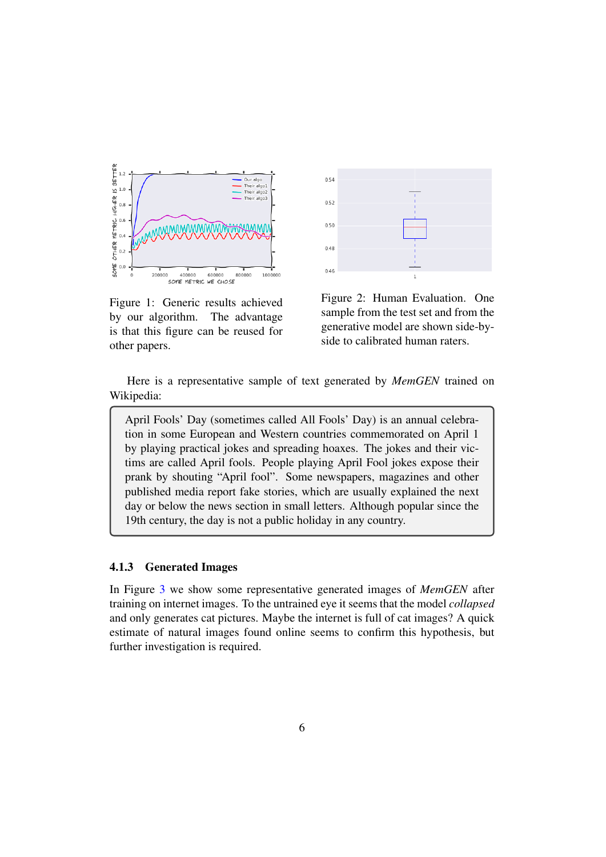

Figure 1: Generic results achieved by our algorithm. The advantage is that this figure can be reused for other papers.



Figure 2: Human Evaluation. One sample from the test set and from the generative model are shown side-byside to calibrated human raters.

Here is a representative sample of text generated by *MemGEN* trained on Wikipedia:

April Fools' Day (sometimes called All Fools' Day) is an annual celebration in some European and Western countries commemorated on April 1 by playing practical jokes and spreading hoaxes. The jokes and their victims are called April fools. People playing April Fool jokes expose their prank by shouting "April fool". Some newspapers, magazines and other published media report fake stories, which are usually explained the next day or below the news section in small letters. Although popular since the 19th century, the day is not a public holiday in any country.

#### 4.1.3 Generated Images

In Figure 3 we show some representative generated images of *MemGEN* after training on internet images. To the untrained eye it seems that the model *collapsed* and only generates cat pictures. Maybe the internet is full of cat images? A quick estimate of natural images found online seems to confirm this hypothesis, but further investigation is required.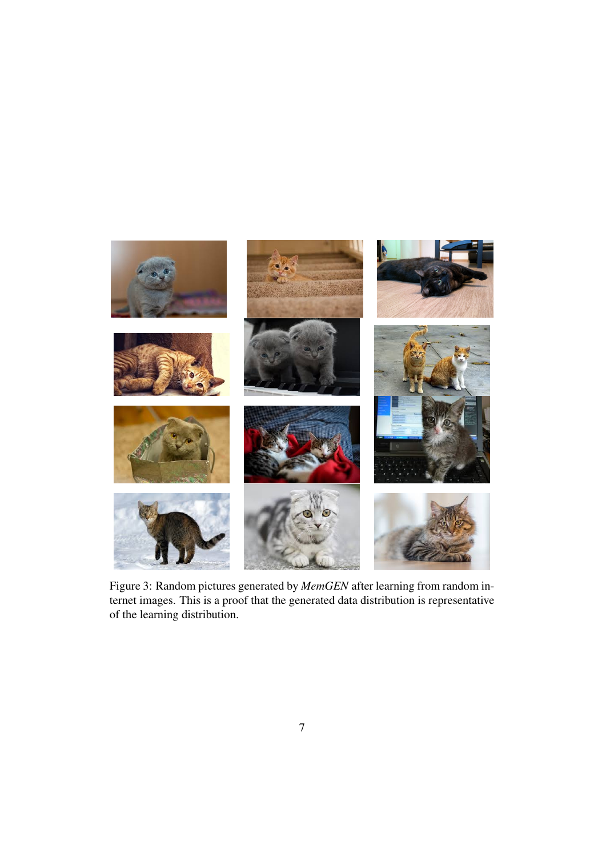

Figure 3: Random pictures generated by *MemGEN* after learning from random internet images. This is a proof that the generated data distribution is representative of the learning distribution.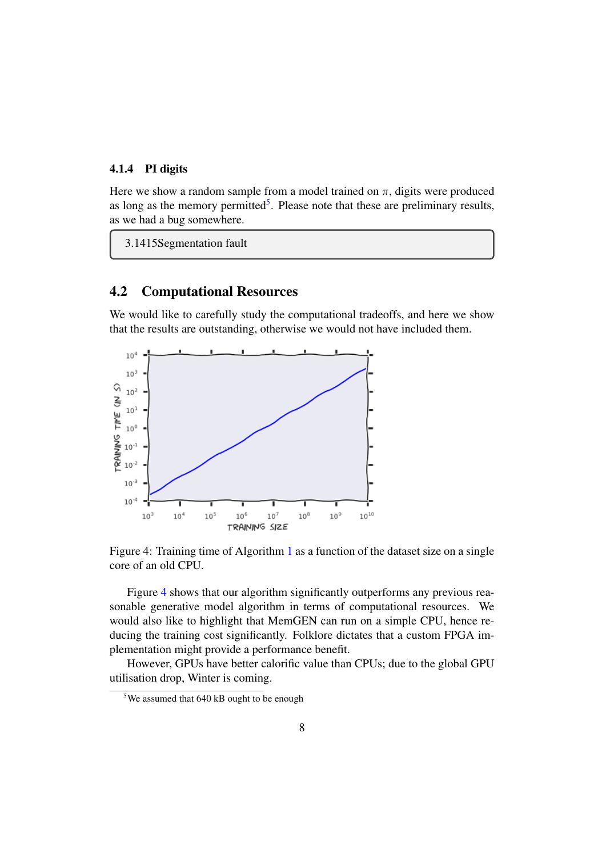#### 4.1.4 PI digits

Here we show a random sample from a model trained on  $\pi$ , digits were produced as long as the memory permitted<sup>5</sup>. Please note that these are preliminary results, as we had a bug somewhere.

3.1415Segmentation fault

### 4.2 Computational Resources

We would like to carefully study the computational tradeoffs, and here we show that the results are outstanding, otherwise we would not have included them.



Figure 4: Training time of Algorithm 1 as a function of the dataset size on a single core of an old CPU.

Figure 4 shows that our algorithm significantly outperforms any previous reasonable generative model algorithm in terms of computational resources. We would also like to highlight that MemGEN can run on a simple CPU, hence reducing the training cost significantly. Folklore dictates that a custom FPGA implementation might provide a performance benefit.

However, GPUs have better calorific value than CPUs; due to the global GPU utilisation drop, Winter is coming.

<sup>5</sup>We assumed that 640 kB ought to be enough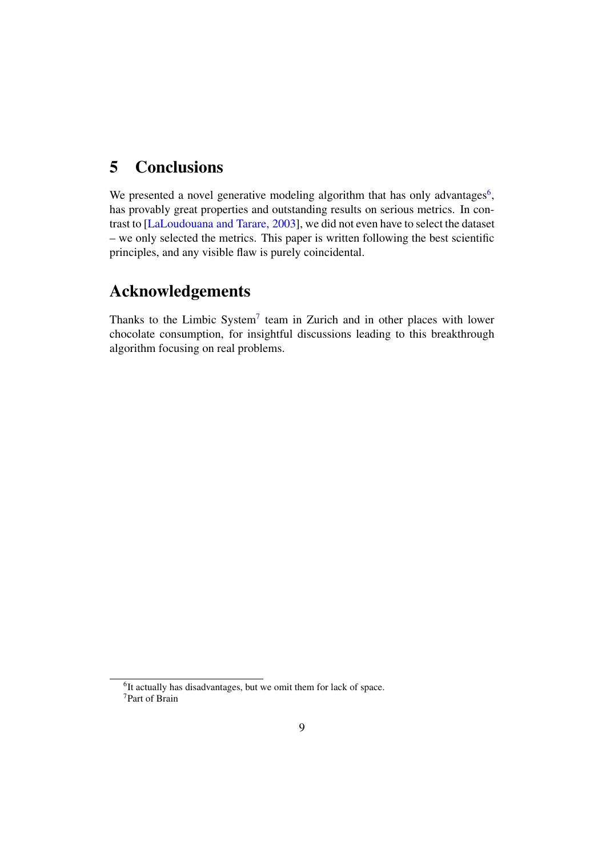## 5 Conclusions

We presented a novel generative modeling algorithm that has only advantages<sup>6</sup>, has provably great properties and outstanding results on serious metrics. In contrast to [LaLoudouana and Tarare, 2003], we did not even have to select the dataset – we only selected the metrics. This paper is written following the best scientific principles, and any visible flaw is purely coincidental.

# Acknowledgements

Thanks to the Limbic System<sup>7</sup> team in Zurich and in other places with lower chocolate consumption, for insightful discussions leading to this breakthrough algorithm focusing on real problems.

<sup>&</sup>lt;sup>6</sup>It actually has disadvantages, but we omit them for lack of space. <sup>7</sup>Part of Brain